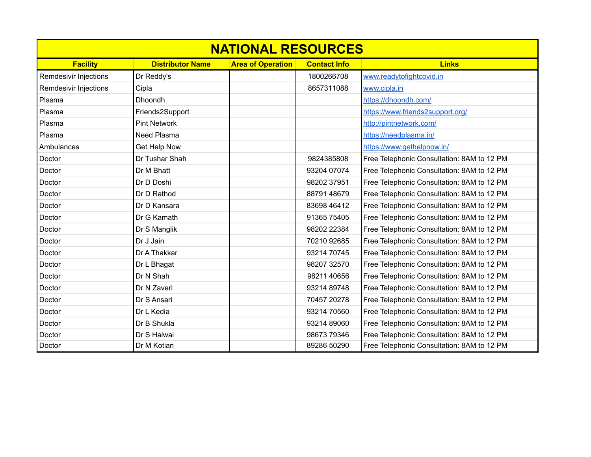| <b>NATIONAL RESOURCES</b> |                         |                          |                     |                                            |  |  |
|---------------------------|-------------------------|--------------------------|---------------------|--------------------------------------------|--|--|
| <b>Facility</b>           | <b>Distributor Name</b> | <b>Area of Operation</b> | <b>Contact Info</b> | <b>Links</b>                               |  |  |
| Remdesivir Injections     | Dr Reddy's              |                          | 1800266708          | www.readytofightcovid.in                   |  |  |
| Remdesivir Injections     | Cipla                   |                          | 8657311088          | www.cipla.in                               |  |  |
| Plasma                    | <b>Dhoondh</b>          |                          |                     | https://dhoondh.com/                       |  |  |
| Plasma                    | Friends2Support         |                          |                     | https://www.friends2support.org/           |  |  |
| Plasma                    | <b>Pint Network</b>     |                          |                     | http://pintnetwork.com/                    |  |  |
| Plasma                    | Need Plasma             |                          |                     | https://needplasma.in/                     |  |  |
| Ambulances                | Get Help Now            |                          |                     | https://www.gethelpnow.in/                 |  |  |
| Doctor                    | Dr Tushar Shah          |                          | 9824385808          | Free Telephonic Consultation: 8AM to 12 PM |  |  |
| Doctor                    | Dr M Bhatt              |                          | 93204 07074         | Free Telephonic Consultation: 8AM to 12 PM |  |  |
| Doctor                    | Dr D Doshi              |                          | 98202 37951         | Free Telephonic Consultation: 8AM to 12 PM |  |  |
| Doctor                    | Dr D Rathod             |                          | 88791 48679         | Free Telephonic Consultation: 8AM to 12 PM |  |  |
| Doctor                    | Dr D Kansara            |                          | 83698 46412         | Free Telephonic Consultation: 8AM to 12 PM |  |  |
| Doctor                    | Dr G Kamath             |                          | 91365 75405         | Free Telephonic Consultation: 8AM to 12 PM |  |  |
| Doctor                    | Dr S Manglik            |                          | 98202 22384         | Free Telephonic Consultation: 8AM to 12 PM |  |  |
| Doctor                    | Dr J Jain               |                          | 70210 92685         | Free Telephonic Consultation: 8AM to 12 PM |  |  |
| Doctor                    | Dr A Thakkar            |                          | 93214 70745         | Free Telephonic Consultation: 8AM to 12 PM |  |  |
| Doctor                    | Dr L Bhagat             |                          | 98207 32570         | Free Telephonic Consultation: 8AM to 12 PM |  |  |
| Doctor                    | Dr N Shah               |                          | 98211 40656         | Free Telephonic Consultation: 8AM to 12 PM |  |  |
| Doctor                    | Dr N Zaveri             |                          | 93214 89748         | Free Telephonic Consultation: 8AM to 12 PM |  |  |
| Doctor                    | Dr S Ansari             |                          | 70457 20278         | Free Telephonic Consultation: 8AM to 12 PM |  |  |
| Doctor                    | Dr L Kedia              |                          | 93214 70560         | Free Telephonic Consultation: 8AM to 12 PM |  |  |
| Doctor                    | Dr B Shukla             |                          | 93214 89060         | Free Telephonic Consultation: 8AM to 12 PM |  |  |
| Doctor                    | Dr S Halwai             |                          | 98673 79346         | Free Telephonic Consultation: 8AM to 12 PM |  |  |
| Doctor                    | Dr M Kotian             |                          | 89286 50290         | Free Telephonic Consultation: 8AM to 12 PM |  |  |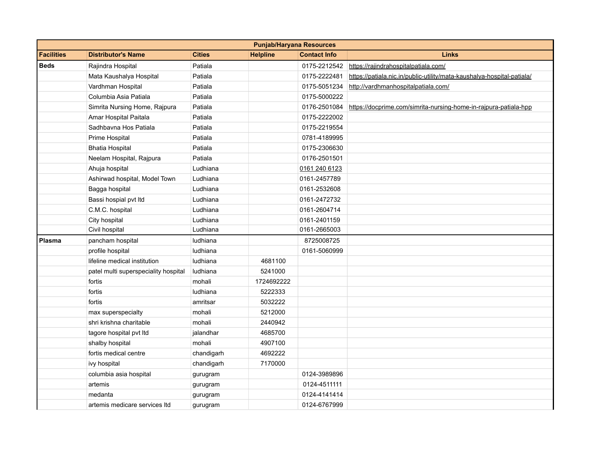|                   |                                      |               |                 | <b>Punjab/Haryana Resources</b> |                                                                        |
|-------------------|--------------------------------------|---------------|-----------------|---------------------------------|------------------------------------------------------------------------|
| <b>Facilities</b> | <b>Distributor's Name</b>            | <b>Cities</b> | <b>Helpline</b> | <b>Contact Info</b>             | <b>Links</b>                                                           |
| <b>Beds</b>       | Rajindra Hospital                    | Patiala       |                 |                                 | 0175-2212542 https://rajindrahospitalpatiala.com/                      |
|                   | Mata Kaushalya Hospital              | Patiala       |                 | 0175-2222481                    | https://patiala.nic.in/public-utility/mata-kaushalya-hospital-patiala/ |
|                   | Vardhman Hospital                    | Patiala       |                 | 0175-5051234                    | http://vardhmanhospitalpatiala.com/                                    |
|                   | Columbia Asia Patiala                | Patiala       |                 | 0175-5000222                    |                                                                        |
|                   | Simrita Nursing Home, Rajpura        | Patiala       |                 | 0176-2501084                    | https://docprime.com/simrita-nursing-home-in-rajpura-patiala-hpp       |
|                   | Amar Hospital Paitala                | Patiala       |                 | 0175-2222002                    |                                                                        |
|                   | Sadhbayna Hos Patiala                | Patiala       |                 | 0175-2219554                    |                                                                        |
|                   | Prime Hospital                       | Patiala       |                 | 0781-4189995                    |                                                                        |
|                   | <b>Bhatia Hospital</b>               | Patiala       |                 | 0175-2306630                    |                                                                        |
|                   | Neelam Hospital, Rajpura             | Patiala       |                 | 0176-2501501                    |                                                                        |
|                   | Ahuja hospital                       | Ludhiana      |                 | 0161 240 6123                   |                                                                        |
|                   | Ashirwad hospital, Model Town        | Ludhiana      |                 | 0161-2457789                    |                                                                        |
|                   | Bagga hospital                       | Ludhiana      |                 | 0161-2532608                    |                                                                        |
|                   | Bassi hospial pvt ltd                | Ludhiana      |                 | 0161-2472732                    |                                                                        |
|                   | C.M.C. hospital                      | Ludhiana      |                 | 0161-2604714                    |                                                                        |
|                   | City hospital                        | Ludhiana      |                 | 0161-2401159                    |                                                                        |
|                   | Civil hospital                       | Ludhiana      |                 | 0161-2665003                    |                                                                        |
| Plasma            | pancham hospital                     | ludhiana      |                 | 8725008725                      |                                                                        |
|                   | profile hospital                     | ludhiana      |                 | 0161-5060999                    |                                                                        |
|                   | lifeline medical institution         | ludhiana      | 4681100         |                                 |                                                                        |
|                   | patel multi superspeciality hospital | ludhiana      | 5241000         |                                 |                                                                        |
|                   | fortis                               | mohali        | 1724692222      |                                 |                                                                        |
|                   | fortis                               | ludhiana      | 5222333         |                                 |                                                                        |
|                   | fortis                               | amritsar      | 5032222         |                                 |                                                                        |
|                   | max superspecialty                   | mohali        | 5212000         |                                 |                                                                        |
|                   | shri krishna charitable              | mohali        | 2440942         |                                 |                                                                        |
|                   | tagore hospital pvt Itd              | jalandhar     | 4685700         |                                 |                                                                        |
|                   | shalby hospital                      | mohali        | 4907100         |                                 |                                                                        |
|                   | fortis medical centre                | chandigarh    | 4692222         |                                 |                                                                        |
|                   | ivy hospital                         | chandigarh    | 7170000         |                                 |                                                                        |
|                   | columbia asia hospital               | gurugram      |                 | 0124-3989896                    |                                                                        |
|                   | artemis                              | gurugram      |                 | 0124-4511111                    |                                                                        |
|                   | medanta                              | gurugram      |                 | 0124-4141414                    |                                                                        |
|                   | artemis medicare services Itd        | gurugram      |                 | 0124-6767999                    |                                                                        |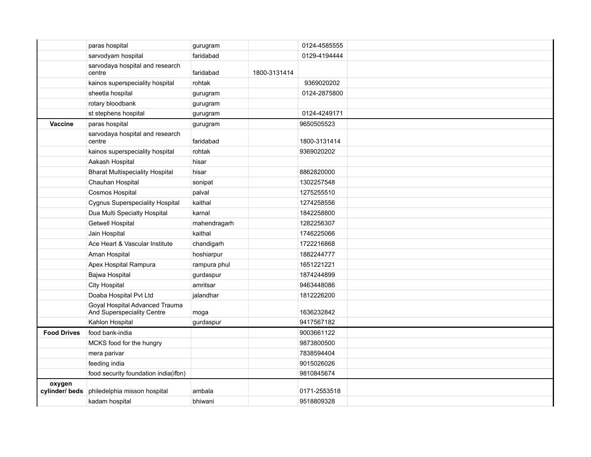|                         | paras hospital                                               | gurugram     |              | 0124-4585555 |  |
|-------------------------|--------------------------------------------------------------|--------------|--------------|--------------|--|
|                         | sarvodyam hospital                                           | faridabad    |              | 0129-4194444 |  |
|                         | sarvodaya hospital and research<br>centre                    | faridabad    | 1800-3131414 |              |  |
|                         | kainos superspeciality hospital                              | rohtak       |              | 9369020202   |  |
|                         | sheetla hospital                                             | gurugram     |              | 0124-2875800 |  |
|                         | rotary bloodbank                                             | gurugram     |              |              |  |
|                         | st stephens hospital                                         | gurugram     |              | 0124-4249171 |  |
| Vaccine                 | paras hospital                                               | gurugram     |              | 9650505523   |  |
|                         | sarvodaya hospital and research<br>centre                    | faridabad    |              | 1800-3131414 |  |
|                         | kainos superspeciality hospital                              | rohtak       |              | 9369020202   |  |
|                         | Aakash Hospital                                              | hisar        |              |              |  |
|                         | <b>Bharat Multispeciality Hospital</b>                       | hisar        |              | 8862820000   |  |
|                         | Chauhan Hospital                                             | sonipat      |              | 1302257548   |  |
|                         | Cosmos Hospital                                              | palval       |              | 1275255510   |  |
|                         | <b>Cygnus Superspeciality Hospital</b>                       | kaithal      |              | 1274258556   |  |
|                         | Dua Multi Specialty Hospital                                 | karnal       |              | 1842258800   |  |
|                         | <b>Getwell Hospital</b>                                      | mahendragarh |              | 1282256307   |  |
|                         | Jain Hospital                                                | kaithal      |              | 1746225066   |  |
|                         | Ace Heart & Vascular Institute                               | chandigarh   |              | 1722216868   |  |
|                         | Aman Hospital                                                | hoshiarpur   |              | 1882244777   |  |
|                         | Apex Hospital Rampura                                        | rampura phul |              | 1651221221   |  |
|                         | Bajwa Hospital                                               | gurdaspur    |              | 1874244899   |  |
|                         | <b>City Hospital</b>                                         | amritsar     |              | 9463448086   |  |
|                         | Doaba Hospital Pvt Ltd                                       | jalandhar    |              | 1812226200   |  |
|                         | Goyal Hospital Advanced Trauma<br>And Superspeciality Centre | moga         |              | 1636232842   |  |
|                         | Kahlon Hospital                                              | gurdaspur    |              | 9417567182   |  |
| <b>Food Drives</b>      | food bank-india                                              |              |              | 9003661122   |  |
|                         | MCKS food for the hungry                                     |              |              | 9873800500   |  |
|                         | mera parivar                                                 |              |              | 7838594404   |  |
|                         | feeding india                                                |              |              | 9015026026   |  |
|                         | food security foundation india(ifbn)                         |              |              | 9810845674   |  |
| oxygen<br>cylinder/beds | philedelphia misson hospital                                 | ambala       |              | 0171-2553518 |  |
|                         | kadam hospital                                               | bhiwani      |              | 9518809328   |  |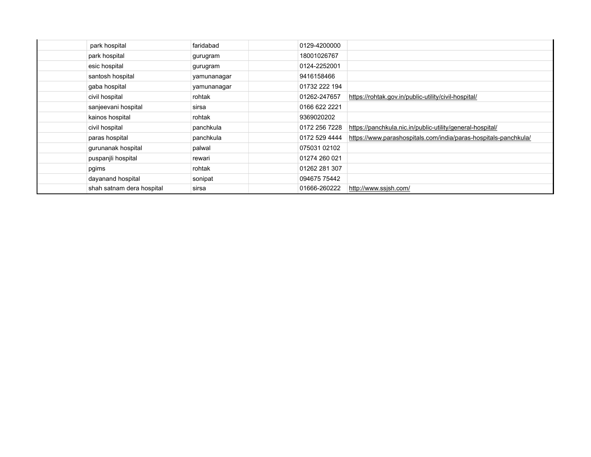| park hospital             | faridabad   | 0129-4200000  |                                                                 |
|---------------------------|-------------|---------------|-----------------------------------------------------------------|
| park hospital             | gurugram    | 18001026767   |                                                                 |
| esic hospital             | gurugram    | 0124-2252001  |                                                                 |
| santosh hospital          | yamunanagar | 9416158466    |                                                                 |
| gaba hospital             | yamunanagar | 01732 222 194 |                                                                 |
| civil hospital            | rohtak      | 01262-247657  | https://rohtak.gov.in/public-utility/civil-hospital/            |
| sanjeevani hospital       | sirsa       | 0166 622 2221 |                                                                 |
| kainos hospital           | rohtak      | 9369020202    |                                                                 |
| civil hospital            | panchkula   | 0172 256 7228 | https://panchkula.nic.in/public-utility/general-hospital/       |
| paras hospital            | panchkula   | 0172 529 4444 | https://www.parashospitals.com/india/paras-hospitals-panchkula/ |
| gurunanak hospital        | palwal      | 075031 02102  |                                                                 |
| puspanjli hospital        | rewari      | 01274 260 021 |                                                                 |
| pgims                     | rohtak      | 01262 281 307 |                                                                 |
| dayanand hospital         | sonipat     | 094675 75442  |                                                                 |
| shah satnam dera hospital | sirsa       | 01666-260222  | http://www.ssjsh.com/                                           |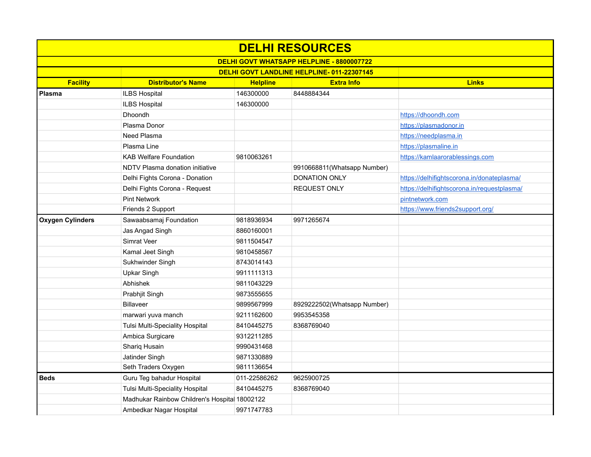| <b>DELHI RESOURCES</b>                    |                                               |                 |                             |                                             |  |  |  |
|-------------------------------------------|-----------------------------------------------|-----------------|-----------------------------|---------------------------------------------|--|--|--|
| DELHI GOVT WHATSAPP HELPLINE - 8800007722 |                                               |                 |                             |                                             |  |  |  |
| DELHI GOVT LANDLINE HELPLINE-011-22307145 |                                               |                 |                             |                                             |  |  |  |
| <b>Facility</b>                           | <b>Distributor's Name</b>                     | <b>Helpline</b> | <b>Extra Info</b>           | <b>Links</b>                                |  |  |  |
| Plasma                                    | <b>ILBS Hospital</b>                          | 146300000       | 8448884344                  |                                             |  |  |  |
|                                           | ILBS Hospital                                 | 146300000       |                             |                                             |  |  |  |
|                                           | Dhoondh                                       |                 |                             | https://dhoondh.com                         |  |  |  |
|                                           | Plasma Donor                                  |                 |                             | https://plasmadonor.in                      |  |  |  |
|                                           | Need Plasma                                   |                 |                             | https://needplasma.in                       |  |  |  |
|                                           | Plasma Line                                   |                 |                             | https://plasmaline.in                       |  |  |  |
|                                           | <b>KAB Welfare Foundation</b>                 | 9810063261      |                             | https://kamlaarorablessings.com             |  |  |  |
|                                           | NDTV Plasma donation initiative               |                 | 9910668811(Whatsapp Number) |                                             |  |  |  |
|                                           | Delhi Fights Corona - Donation                |                 | DONATION ONLY               | https://delhifightscorona.in/donateplasma/  |  |  |  |
|                                           | Delhi Fights Corona - Request                 |                 | <b>REQUEST ONLY</b>         | https://delhifightscorona.in/requestplasma/ |  |  |  |
|                                           | <b>Pint Network</b>                           |                 |                             | pintnetwork.com                             |  |  |  |
|                                           | Friends 2 Support                             |                 |                             | https://www.friends2support.org/            |  |  |  |
| <b>Oxygen Cylinders</b>                   | Sawaabsamaj Foundation                        | 9818936934      | 9971265674                  |                                             |  |  |  |
|                                           | Jas Angad Singh                               | 8860160001      |                             |                                             |  |  |  |
|                                           | <b>Simrat Veer</b>                            | 9811504547      |                             |                                             |  |  |  |
|                                           | Kamal Jeet Singh                              | 9810458567      |                             |                                             |  |  |  |
|                                           | Sukhwinder Singh                              | 8743014143      |                             |                                             |  |  |  |
|                                           | <b>Upkar Singh</b>                            | 9911111313      |                             |                                             |  |  |  |
|                                           | Abhishek                                      | 9811043229      |                             |                                             |  |  |  |
|                                           | Prabhjit Singh                                | 9873555655      |                             |                                             |  |  |  |
|                                           | <b>Billaveer</b>                              | 9899567999      | 8929222502(Whatsapp Number) |                                             |  |  |  |
|                                           | marwari yuva manch                            | 9211162600      | 9953545358                  |                                             |  |  |  |
|                                           | Tulsi Multi-Speciality Hospital               | 8410445275      | 8368769040                  |                                             |  |  |  |
|                                           | Ambica Surgicare                              | 9312211285      |                             |                                             |  |  |  |
|                                           | Shariq Husain                                 | 9990431468      |                             |                                             |  |  |  |
|                                           | Jatinder Singh                                | 9871330889      |                             |                                             |  |  |  |
|                                           | Seth Traders Oxygen                           | 9811136654      |                             |                                             |  |  |  |
| <b>Beds</b>                               | Guru Teg bahadur Hospital                     | 011-22586262    | 9625900725                  |                                             |  |  |  |
|                                           | <b>Tulsi Multi-Speciality Hospital</b>        | 8410445275      | 8368769040                  |                                             |  |  |  |
|                                           | Madhukar Rainbow Children's Hospital 18002122 |                 |                             |                                             |  |  |  |
|                                           | Ambedkar Nagar Hospital                       | 9971747783      |                             |                                             |  |  |  |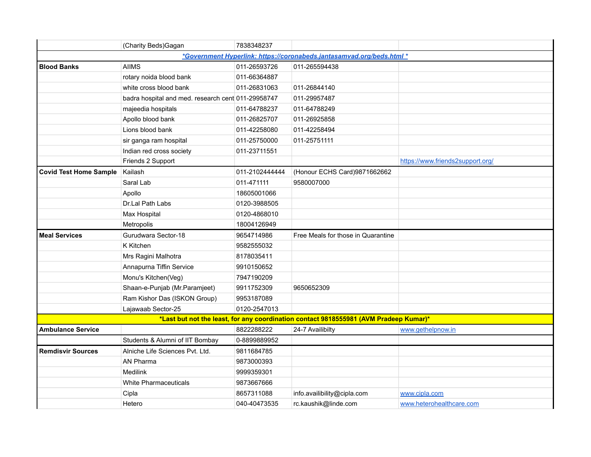|                               | (Charity Beds) Gagan                               | 7838348237     |                                                                                       |                                  |
|-------------------------------|----------------------------------------------------|----------------|---------------------------------------------------------------------------------------|----------------------------------|
|                               |                                                    |                | *Government Hyperlink: https://coronabeds.jantasamvad.org/beds.html *                 |                                  |
| <b>Blood Banks</b>            | <b>AIIMS</b>                                       | 011-26593726   | 011-265594438                                                                         |                                  |
|                               | rotary noida blood bank                            | 011-66364887   |                                                                                       |                                  |
|                               | white cross blood bank                             | 011-26831063   | 011-26844140                                                                          |                                  |
|                               | badra hospital and med. research cent 011-29958747 |                | 011-29957487                                                                          |                                  |
|                               | majeedia hospitals                                 | 011-64788237   | 011-64788249                                                                          |                                  |
|                               | Apollo blood bank                                  | 011-26825707   | 011-26925858                                                                          |                                  |
|                               | Lions blood bank                                   | 011-42258080   | 011-42258494                                                                          |                                  |
|                               | sir ganga ram hospital                             | 011-25750000   | 011-25751111                                                                          |                                  |
|                               | Indian red cross society                           | 011-23711551   |                                                                                       |                                  |
|                               | Friends 2 Support                                  |                |                                                                                       | https://www.friends2support.org/ |
| <b>Covid Test Home Sample</b> | Kailash                                            | 011-2102444444 | (Honour ECHS Card)9871662662                                                          |                                  |
|                               | Saral Lab                                          | 011-471111     | 9580007000                                                                            |                                  |
|                               | Apollo                                             | 18605001066    |                                                                                       |                                  |
|                               | Dr.Lal Path Labs                                   | 0120-3988505   |                                                                                       |                                  |
|                               | Max Hospital                                       | 0120-4868010   |                                                                                       |                                  |
|                               | Metropolis                                         | 18004126949    |                                                                                       |                                  |
| <b>Meal Services</b>          | Gurudwara Sector-18                                | 9654714986     | Free Meals for those in Quarantine                                                    |                                  |
|                               | K Kitchen                                          | 9582555032     |                                                                                       |                                  |
|                               | Mrs Ragini Malhotra                                | 8178035411     |                                                                                       |                                  |
|                               | Annapurna Tiffin Service                           | 9910150652     |                                                                                       |                                  |
|                               | Monu's Kitchen(Veg)                                | 7947190209     |                                                                                       |                                  |
|                               | Shaan-e-Punjab (Mr.Paramjeet)                      | 9911752309     | 9650652309                                                                            |                                  |
|                               | Ram Kishor Das (ISKON Group)                       | 9953187089     |                                                                                       |                                  |
|                               | Lajawaab Sector-25                                 | 0120-2547013   |                                                                                       |                                  |
|                               |                                                    |                | *Last but not the least, for any coordination contact 9818555981 (AVM Pradeep Kumar)* |                                  |
| <b>Ambulance Service</b>      |                                                    | 8822288222     | 24-7 Availibilty                                                                      | www.gethelpnow.in                |
|                               | Students & Alumni of IIT Bombay                    | 0-8899889952   |                                                                                       |                                  |
| <b>Remdisvir Sources</b>      | Alniche Life Sciences Pvt. Ltd.                    | 9811684785     |                                                                                       |                                  |
|                               | AN Pharma                                          | 9873000393     |                                                                                       |                                  |
|                               | Medilink                                           | 9999359301     |                                                                                       |                                  |
|                               | <b>White Pharmaceuticals</b>                       | 9873667666     |                                                                                       |                                  |
|                               | Cipla                                              | 8657311088     | info.availibility@cipla.com                                                           | www.cipla.com                    |
|                               | Hetero                                             | 040-40473535   | rc.kaushik@linde.com                                                                  | www.heterohealthcare.com         |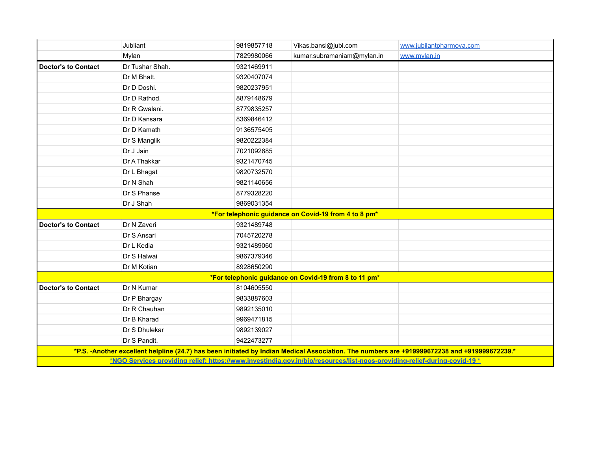|                            | Jubliant        | 9819857718 | Vikas.bansi@jubl.com                                                                                                      | www.jubilantpharmova.com                                                                                                                     |
|----------------------------|-----------------|------------|---------------------------------------------------------------------------------------------------------------------------|----------------------------------------------------------------------------------------------------------------------------------------------|
|                            | Mylan           | 7829980066 | kumar.subramaniam@mylan.in                                                                                                | www.mylan.in                                                                                                                                 |
| <b>Doctor's to Contact</b> | Dr Tushar Shah. | 9321469911 |                                                                                                                           |                                                                                                                                              |
|                            | Dr M Bhatt.     | 9320407074 |                                                                                                                           |                                                                                                                                              |
|                            | Dr D Doshi.     | 9820237951 |                                                                                                                           |                                                                                                                                              |
|                            | Dr D Rathod.    | 8879148679 |                                                                                                                           |                                                                                                                                              |
|                            | Dr R Gwalani.   | 8779835257 |                                                                                                                           |                                                                                                                                              |
|                            | Dr D Kansara    | 8369846412 |                                                                                                                           |                                                                                                                                              |
|                            | Dr D Kamath     | 9136575405 |                                                                                                                           |                                                                                                                                              |
|                            | Dr S Manglik    | 9820222384 |                                                                                                                           |                                                                                                                                              |
|                            | Dr J Jain       | 7021092685 |                                                                                                                           |                                                                                                                                              |
|                            | Dr A Thakkar    | 9321470745 |                                                                                                                           |                                                                                                                                              |
|                            | Dr L Bhagat     | 9820732570 |                                                                                                                           |                                                                                                                                              |
|                            | Dr N Shah       | 9821140656 |                                                                                                                           |                                                                                                                                              |
|                            | Dr S Phanse     | 8779328220 |                                                                                                                           |                                                                                                                                              |
|                            | Dr J Shah       | 9869031354 |                                                                                                                           |                                                                                                                                              |
|                            |                 |            | *For telephonic guidance on Covid-19 from 4 to 8 pm*                                                                      |                                                                                                                                              |
| <b>Doctor's to Contact</b> | Dr N Zaveri     | 9321489748 |                                                                                                                           |                                                                                                                                              |
|                            | Dr S Ansari     | 7045720278 |                                                                                                                           |                                                                                                                                              |
|                            | Dr L Kedia      | 9321489060 |                                                                                                                           |                                                                                                                                              |
|                            | Dr S Halwai     | 9867379346 |                                                                                                                           |                                                                                                                                              |
|                            | Dr M Kotian     | 8928650290 |                                                                                                                           |                                                                                                                                              |
|                            |                 |            | *For telephonic guidance on Covid-19 from 8 to 11 pm*                                                                     |                                                                                                                                              |
| <b>Doctor's to Contact</b> | Dr N Kumar      | 8104605550 |                                                                                                                           |                                                                                                                                              |
|                            | Dr P Bhargay    | 9833887603 |                                                                                                                           |                                                                                                                                              |
|                            | Dr R Chauhan    | 9892135010 |                                                                                                                           |                                                                                                                                              |
|                            | Dr B Kharad     | 9969471815 |                                                                                                                           |                                                                                                                                              |
|                            | Dr S Dhulekar   | 9892139027 |                                                                                                                           |                                                                                                                                              |
|                            | Dr S Pandit.    | 9422473277 |                                                                                                                           |                                                                                                                                              |
|                            |                 |            |                                                                                                                           | *P.S. -Another excellent helpline (24.7) has been initiated by Indian Medical Association. The numbers are +919999672238 and +919999672239.* |
|                            |                 |            | *NGO Services providing relief: https://www.investindia.gov.in/bip/resources/list-ngos-providing-relief-during-covid-19 * |                                                                                                                                              |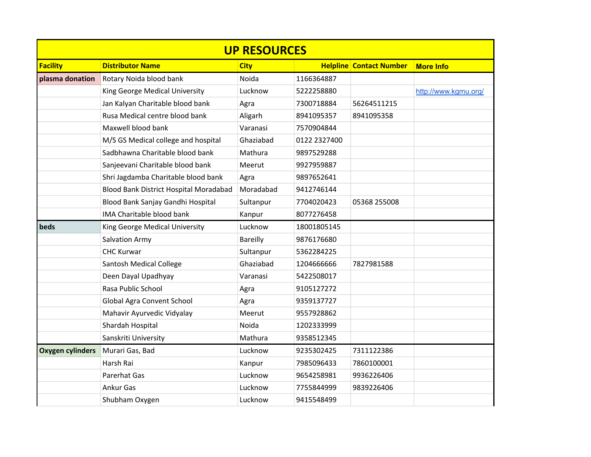| <b>UP RESOURCES</b>     |                                        |             |              |                                |                      |  |
|-------------------------|----------------------------------------|-------------|--------------|--------------------------------|----------------------|--|
| <b>Facility</b>         | <b>Distributor Name</b>                | <b>City</b> |              | <b>Helpline Contact Number</b> | <b>More Info</b>     |  |
| plasma donation         | Rotary Noida blood bank                | Noida       | 1166364887   |                                |                      |  |
|                         | King George Medical University         | Lucknow     | 5222258880   |                                | http://www.kgmu.org/ |  |
|                         | Jan Kalyan Charitable blood bank       | Agra        | 7300718884   | 56264511215                    |                      |  |
|                         | Rusa Medical centre blood bank         | Aligarh     | 8941095357   | 8941095358                     |                      |  |
|                         | Maxwell blood bank                     | Varanasi    | 7570904844   |                                |                      |  |
|                         | M/S GS Medical college and hospital    | Ghaziabad   | 0122 2327400 |                                |                      |  |
|                         | Sadbhawna Charitable blood bank        | Mathura     | 9897529288   |                                |                      |  |
|                         | Sanjeevani Charitable blood bank       | Meerut      | 9927959887   |                                |                      |  |
|                         | Shri Jagdamba Charitable blood bank    | Agra        | 9897652641   |                                |                      |  |
|                         | Blood Bank District Hospital Moradabad | Moradabad   | 9412746144   |                                |                      |  |
|                         | Blood Bank Sanjay Gandhi Hospital      | Sultanpur   | 7704020423   | 05368 255008                   |                      |  |
|                         | IMA Charitable blood bank              | Kanpur      | 8077276458   |                                |                      |  |
| beds                    | King George Medical University         | Lucknow     | 18001805145  |                                |                      |  |
|                         | Salvation Army                         | Bareilly    | 9876176680   |                                |                      |  |
|                         | <b>CHC Kurwar</b>                      | Sultanpur   | 5362284225   |                                |                      |  |
|                         | Santosh Medical College                | Ghaziabad   | 1204666666   | 7827981588                     |                      |  |
|                         | Deen Dayal Upadhyay                    | Varanasi    | 5422508017   |                                |                      |  |
|                         | Rasa Public School                     | Agra        | 9105127272   |                                |                      |  |
|                         | Global Agra Convent School             | Agra        | 9359137727   |                                |                      |  |
|                         | Mahavir Ayurvedic Vidyalay             | Meerut      | 9557928862   |                                |                      |  |
|                         | Shardah Hospital                       | Noida       | 1202333999   |                                |                      |  |
|                         | Sanskriti University                   | Mathura     | 9358512345   |                                |                      |  |
| <b>Oxygen cylinders</b> | Murari Gas, Bad                        | Lucknow     | 9235302425   | 7311122386                     |                      |  |
|                         | Harsh Rai                              | Kanpur      | 7985096433   | 7860100001                     |                      |  |
|                         | Parerhat Gas                           | Lucknow     | 9654258981   | 9936226406                     |                      |  |
|                         | Ankur Gas                              | Lucknow     | 7755844999   | 9839226406                     |                      |  |
|                         | Shubham Oxygen                         | Lucknow     | 9415548499   |                                |                      |  |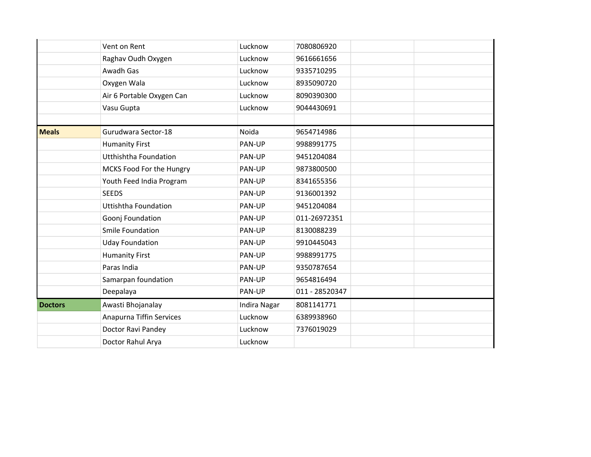|                | Vent on Rent                 | Lucknow      | 7080806920     |  |
|----------------|------------------------------|--------------|----------------|--|
|                | Raghav Oudh Oxygen           | Lucknow      | 9616661656     |  |
|                | Awadh Gas                    | Lucknow      | 9335710295     |  |
|                | Oxygen Wala                  | Lucknow      | 8935090720     |  |
|                | Air 6 Portable Oxygen Can    | Lucknow      | 8090390300     |  |
|                | Vasu Gupta                   | Lucknow      | 9044430691     |  |
|                |                              |              |                |  |
| <b>Meals</b>   | Gurudwara Sector-18          | Noida        | 9654714986     |  |
|                | <b>Humanity First</b>        | PAN-UP       | 9988991775     |  |
|                | <b>Utthishtha Foundation</b> | PAN-UP       | 9451204084     |  |
|                | MCKS Food For the Hungry     | PAN-UP       | 9873800500     |  |
|                | Youth Feed India Program     | PAN-UP       | 8341655356     |  |
|                | <b>SEEDS</b>                 | PAN-UP       | 9136001392     |  |
|                | <b>Uttishtha Foundation</b>  | PAN-UP       | 9451204084     |  |
|                | Goonj Foundation             | PAN-UP       | 011-26972351   |  |
|                | Smile Foundation             | PAN-UP       | 8130088239     |  |
|                | <b>Uday Foundation</b>       | PAN-UP       | 9910445043     |  |
|                | <b>Humanity First</b>        | PAN-UP       | 9988991775     |  |
|                | Paras India                  | PAN-UP       | 9350787654     |  |
|                | Samarpan foundation          | PAN-UP       | 9654816494     |  |
|                | Deepalaya                    | PAN-UP       | 011 - 28520347 |  |
| <b>Doctors</b> | Awasti Bhojanalay            | Indira Nagar | 8081141771     |  |
|                | Anapurna Tiffin Services     | Lucknow      | 6389938960     |  |
|                | Doctor Ravi Pandey           | Lucknow      | 7376019029     |  |
|                | Doctor Rahul Arya            | Lucknow      |                |  |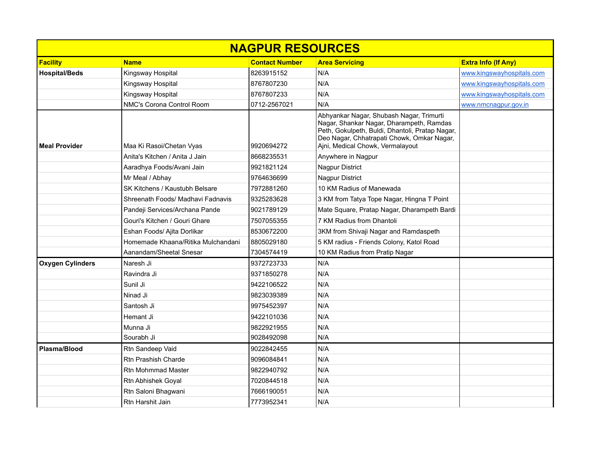| <b>NAGPUR RESOURCES</b> |                                    |                       |                                                                                                                                                                                                                           |                            |  |
|-------------------------|------------------------------------|-----------------------|---------------------------------------------------------------------------------------------------------------------------------------------------------------------------------------------------------------------------|----------------------------|--|
| Facility                | <b>Name</b>                        | <b>Contact Number</b> | <b>Area Servicing</b>                                                                                                                                                                                                     | <b>Extra Info (If Any)</b> |  |
| <b>Hospital/Beds</b>    | Kingsway Hospital                  | 8263915152            | N/A                                                                                                                                                                                                                       | www.kingswayhospitals.com  |  |
|                         | Kingsway Hospital                  | 8767807230            | N/A                                                                                                                                                                                                                       | www.kingswayhospitals.com  |  |
|                         | Kingsway Hospital                  | 8767807233            | N/A                                                                                                                                                                                                                       | www.kingswayhospitals.com  |  |
|                         | NMC's Corona Control Room          | 0712-2567021          | N/A                                                                                                                                                                                                                       | www.nmcnagpur.gov.in       |  |
| <b>Meal Provider</b>    | Maa Ki Rasoi/Chetan Vyas           | 9920694272            | Abhyankar Nagar, Shubash Nagar, Trimurti<br>Nagar, Shankar Nagar, Dharampeth, Ramdas<br>Peth, Gokulpeth, Buldi, Dhantoli, Pratap Nagar,<br>Deo Nagar, Chhatrapati Chowk, Omkar Nagar,<br>Ajni, Medical Chowk, Vermalayout |                            |  |
|                         | Anita's Kitchen / Anita J Jain     | 8668235531            | Anywhere in Nagpur                                                                                                                                                                                                        |                            |  |
|                         | Aaradhya Foods/Avani Jain          | 9921821124            | <b>Nagpur District</b>                                                                                                                                                                                                    |                            |  |
|                         | Mr Meal / Abhay                    | 9764636699            | Nagpur District                                                                                                                                                                                                           |                            |  |
|                         | SK Kitchens / Kaustubh Belsare     | 7972881260            | 10 KM Radius of Manewada                                                                                                                                                                                                  |                            |  |
|                         | Shreenath Foods/ Madhavi Fadnavis  | 9325283628            | 3 KM from Tatya Tope Nagar, Hingna T Point                                                                                                                                                                                |                            |  |
|                         | Pandeji Services/Archana Pande     | 9021789129            | Mate Square, Pratap Nagar, Dharampeth Bardi                                                                                                                                                                               |                            |  |
|                         | Gouri's Kitchen / Gouri Ghare      | 7507055355            | 7 KM Radius from Dhantoli                                                                                                                                                                                                 |                            |  |
|                         | Eshan Foods/ Ajita Dorlikar        | 8530672200            | 3KM from Shivaji Nagar and Ramdaspeth                                                                                                                                                                                     |                            |  |
|                         | Homemade Khaana/Ritika Mulchandani | 8805029180            | 5 KM radius - Friends Colony, Katol Road                                                                                                                                                                                  |                            |  |
|                         | Aanandam/Sheetal Snesar            | 7304574419            | 10 KM Radius from Pratip Nagar                                                                                                                                                                                            |                            |  |
| <b>Oxygen Cylinders</b> | Naresh Ji                          | 9372723733            | N/A                                                                                                                                                                                                                       |                            |  |
|                         | Ravindra Ji                        | 9371850278            | N/A                                                                                                                                                                                                                       |                            |  |
|                         | Sunil Ji                           | 9422106522            | N/A                                                                                                                                                                                                                       |                            |  |
|                         | Ninad Ji                           | 9823039389            | N/A                                                                                                                                                                                                                       |                            |  |
|                         | Santosh Ji                         | 9975452397            | N/A                                                                                                                                                                                                                       |                            |  |
|                         | Hemant Ji                          | 9422101036            | N/A                                                                                                                                                                                                                       |                            |  |
|                         | Munna Ji                           | 9822921955            | N/A                                                                                                                                                                                                                       |                            |  |
|                         | Sourabh Ji                         | 9028492098            | N/A                                                                                                                                                                                                                       |                            |  |
| Plasma/Blood            | Rtn Sandeep Vaid                   | 9022842455            | N/A                                                                                                                                                                                                                       |                            |  |
|                         | Rtn Prashish Charde                | 9096084841            | N/A                                                                                                                                                                                                                       |                            |  |
|                         | <b>Rtn Mohmmad Master</b>          | 9822940792            | N/A                                                                                                                                                                                                                       |                            |  |
|                         | Rtn Abhishek Goyal                 | 7020844518            | N/A                                                                                                                                                                                                                       |                            |  |
|                         | Rtn Saloni Bhagwani                | 7666190051            | N/A                                                                                                                                                                                                                       |                            |  |
|                         | Rtn Harshit Jain                   | 7773952341            | N/A                                                                                                                                                                                                                       |                            |  |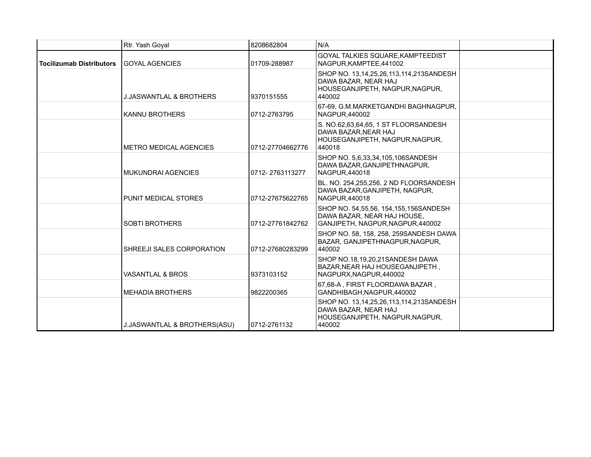|                                 | Rtr. Yash Goyal                    | 8208682804       | N/A                                                                                                          |  |
|---------------------------------|------------------------------------|------------------|--------------------------------------------------------------------------------------------------------------|--|
| <b>Tocilizumab Distributors</b> | <b>GOYAL AGENCIES</b>              | 01709-288987     | GOYAL TALKIES SQUARE, KAMPTEEDIST<br>NAGPUR, KAMPTEE, 441002                                                 |  |
|                                 | <b>J.JASWANTLAL &amp; BROTHERS</b> | 9370151555       | SHOP NO. 13,14,25,26,113,114,213SANDESH<br>DAWA BAZAR, NEAR HAJ<br>HOUSEGANJIPETH, NAGPUR, NAGPUR,<br>440002 |  |
|                                 | <b>KANNU BROTHERS</b>              | 0712-2763795     | 67-69, G.M.MARKETGANDHI BAGHNAGPUR,<br><b>NAGPUR.440002</b>                                                  |  |
|                                 | <b>METRO MEDICAL AGENCIES</b>      | 0712-27704662776 | S. NO.62,63,64,65, 1 ST FLOORSANDESH<br>DAWA BAZAR, NEAR HAJ<br>HOUSEGANJIPETH, NAGPUR, NAGPUR,<br>440018    |  |
|                                 | MUKUNDRAI AGENCIES                 | 0712-2763113277  | SHOP NO. 5,6,33,34,105,106SANDESH<br>DAWA BAZAR, GANJIPETHNAGPUR,<br>NAGPUR.440018                           |  |
|                                 | PUNIT MEDICAL STORES               | 0712-27675622765 | BL. NO. 254,255,256, 2 ND FLOORSANDESH<br>DAWA BAZAR, GANJIPETH, NAGPUR,<br>NAGPUR,440018                    |  |
|                                 | <b>SOBTI BROTHERS</b>              | 0712-27761842762 | SHOP NO. 54,55,56, 154,155,156SANDESH<br>DAWA BAZAR. NEAR HAJ HOUSE.<br>GANJIPETH, NAGPUR, NAGPUR, 440002    |  |
|                                 | SHREEJI SALES CORPORATION          | 0712-27680283299 | SHOP NO. 58, 158, 258, 259SANDESH DAWA<br>BAZAR, GANJIPETHNAGPUR, NAGPUR,<br>440002                          |  |
|                                 | VASANTLAL & BROS                   | 9373103152       | SHOP NO.18,19,20,21SANDESH DAWA<br>BAZAR, NEAR HAJ HOUSEGANJIPETH,<br>NAGPURX, NAGPUR, 440002                |  |
|                                 | <b>MEHADIA BROTHERS</b>            | 9822200365       | 67.68-A. FIRST FLOORDAWA BAZAR.<br>GANDHIBAGH, NAGPUR, 440002                                                |  |
|                                 | J.JASWANTLAL & BROTHERS(ASU)       | 0712-2761132     | SHOP NO. 13,14,25,26,113,114,213SANDESH<br>DAWA BAZAR, NEAR HAJ<br>HOUSEGANJIPETH, NAGPUR, NAGPUR,<br>440002 |  |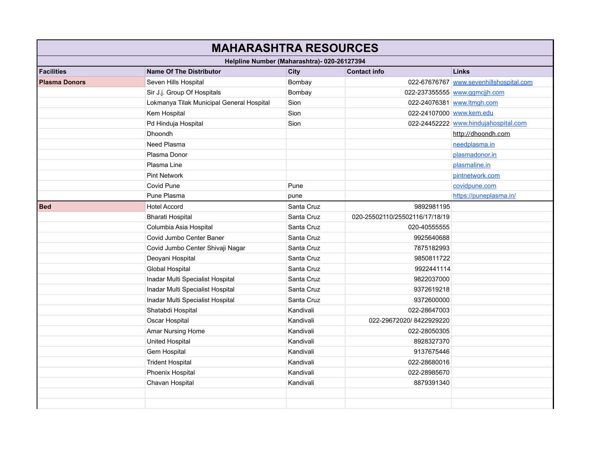| <b>MAHARASHTRA RESOURCES</b>                |                                                                               |            |                                |                                         |  |  |
|---------------------------------------------|-------------------------------------------------------------------------------|------------|--------------------------------|-----------------------------------------|--|--|
| Helpline Number (Maharashtra)- 020-26127394 |                                                                               |            |                                |                                         |  |  |
| <b>Facilities</b>                           | <b>Contact info</b><br><b>Links</b><br><b>Name Of The Distributor</b><br>City |            |                                |                                         |  |  |
| <b>Plasma Donors</b>                        | Seven Hills Hospital                                                          | Bombay     |                                | 022-67676767 www.sevenhillshospital.com |  |  |
|                                             | Sir J.j. Group Of Hospitals                                                   | Bombay     |                                | 022-237355555 www.gqmcjih.com           |  |  |
|                                             | Lokmanya Tilak Municipal General Hospital                                     | Sion       |                                | 022-24076381 www.ltmgh.com              |  |  |
|                                             | Kem Hospital                                                                  | Sion       | 022-24107000 www.kem.edu       |                                         |  |  |
|                                             | Pd Hinduja Hospital                                                           | Sion       |                                | 022-24452222 www.hindujahospital.com    |  |  |
|                                             | <b>Dhoondh</b>                                                                |            |                                | http://dhoondh.com                      |  |  |
|                                             | Need Plasma                                                                   |            |                                | needplasma.in                           |  |  |
|                                             | Plasma Donor                                                                  |            |                                | plasmadonor.in                          |  |  |
|                                             | Plasma Line                                                                   |            |                                | plasmaline.in                           |  |  |
|                                             | <b>Pint Network</b>                                                           |            |                                | pintnetwork.com                         |  |  |
|                                             | Covid Pune                                                                    | Pune       |                                | covidpune.com                           |  |  |
|                                             | Pune Plasma                                                                   | pune       |                                | https://puneplasma.in/                  |  |  |
| <b>Bed</b>                                  | <b>Hotel Accord</b>                                                           | Santa Cruz | 9892981195                     |                                         |  |  |
|                                             | <b>Bharati Hospital</b>                                                       | Santa Cruz | 020-25502110/25502116/17/18/19 |                                         |  |  |
|                                             | Columbia Asia Hospital                                                        | Santa Cruz | 020-40555555                   |                                         |  |  |
|                                             | Covid Jumbo Center Baner                                                      | Santa Cruz | 9925640688                     |                                         |  |  |
|                                             | Covid Jumbo Center Shivaji Nagar                                              | Santa Cruz | 7875182993                     |                                         |  |  |
|                                             | Deoyani Hospital                                                              | Santa Cruz | 9850811722                     |                                         |  |  |
|                                             | <b>Global Hospital</b>                                                        | Santa Cruz | 9922441114                     |                                         |  |  |
|                                             | Inadar Multi Specialist Hospital                                              | Santa Cruz | 9822037000                     |                                         |  |  |
|                                             | Inadar Multi Specialist Hospital                                              | Santa Cruz | 9372619218                     |                                         |  |  |
|                                             | Inadar Multi Specialist Hospital                                              | Santa Cruz | 9372600000                     |                                         |  |  |
|                                             | Shatabdi Hospital                                                             | Kandivali  | 022-28647003                   |                                         |  |  |
|                                             | Oscar Hospital                                                                | Kandivali  | 022-29672020/8422929220        |                                         |  |  |
|                                             | Amar Nursing Home                                                             | Kandivali  | 022-28050305                   |                                         |  |  |
|                                             | <b>United Hospital</b>                                                        | Kandivali  | 8928327370                     |                                         |  |  |
|                                             | Gem Hospital                                                                  | Kandivali  | 9137675446                     |                                         |  |  |
|                                             | <b>Trident Hospital</b>                                                       | Kandivali  | 022-28680016                   |                                         |  |  |
|                                             | Phoenix Hospital                                                              | Kandivali  | 022-28985670                   |                                         |  |  |
|                                             | Chavan Hospital                                                               | Kandivali  | 8879391340                     |                                         |  |  |
|                                             |                                                                               |            |                                |                                         |  |  |
|                                             |                                                                               |            |                                |                                         |  |  |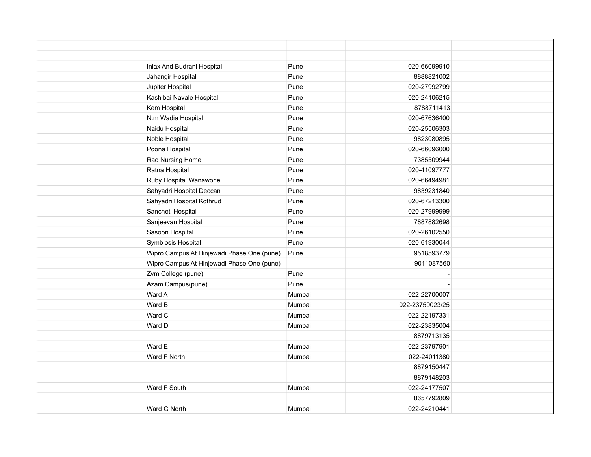| Inlax And Budrani Hospital                 | Pune   | 020-66099910    |  |
|--------------------------------------------|--------|-----------------|--|
| Jahangir Hospital                          | Pune   | 8888821002      |  |
| Jupiter Hospital                           | Pune   | 020-27992799    |  |
| Kashibai Navale Hospital                   | Pune   | 020-24106215    |  |
| Kem Hospital                               | Pune   | 8788711413      |  |
| N.m Wadia Hospital                         | Pune   | 020-67636400    |  |
| Naidu Hospital                             | Pune   | 020-25506303    |  |
| Noble Hospital                             | Pune   | 9823080895      |  |
| Poona Hospital                             | Pune   | 020-66096000    |  |
| Rao Nursing Home                           | Pune   | 7385509944      |  |
| Ratna Hospital                             | Pune   | 020-41097777    |  |
| Ruby Hospital Wanaworie                    | Pune   | 020-66494981    |  |
| Sahyadri Hospital Deccan                   | Pune   | 9839231840      |  |
| Sahyadri Hospital Kothrud                  | Pune   | 020-67213300    |  |
| Sancheti Hospital                          | Pune   | 020-27999999    |  |
| Sanjeevan Hospital                         | Pune   | 7887882698      |  |
| Sasoon Hospital                            | Pune   | 020-26102550    |  |
| Symbiosis Hospital                         | Pune   | 020-61930044    |  |
| Wipro Campus At Hinjewadi Phase One (pune) | Pune   | 9518593779      |  |
| Wipro Campus At Hinjewadi Phase One (pune) |        | 9011087560      |  |
| Zvm College (pune)                         | Pune   |                 |  |
| Azam Campus(pune)                          | Pune   |                 |  |
| Ward A                                     | Mumbai | 022-22700007    |  |
| Ward B                                     | Mumbai | 022-23759023/25 |  |
| Ward C                                     | Mumbai | 022-22197331    |  |
| Ward D                                     | Mumbai | 022-23835004    |  |
|                                            |        | 8879713135      |  |
| Ward E                                     | Mumbai | 022-23797901    |  |
| Ward F North                               | Mumbai | 022-24011380    |  |
|                                            |        | 8879150447      |  |
|                                            |        | 8879148203      |  |
| Ward F South                               | Mumbai | 022-24177507    |  |
|                                            |        | 8657792809      |  |
| Ward G North                               | Mumbai | 022-24210441    |  |
|                                            |        |                 |  |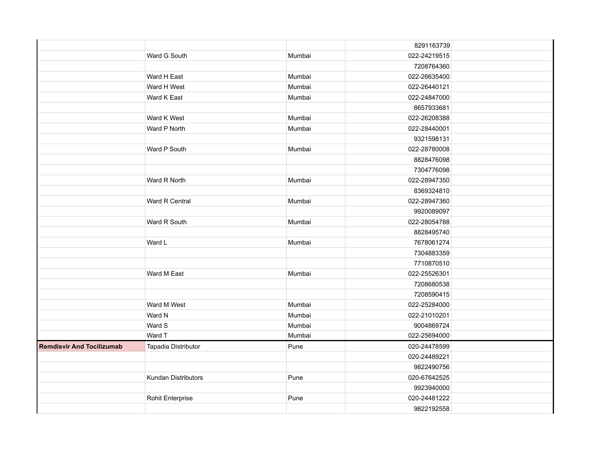|                                  |                     |        | 8291163739   |  |
|----------------------------------|---------------------|--------|--------------|--|
|                                  | Ward G South        | Mumbai | 022-24219515 |  |
|                                  |                     |        | 7208764360   |  |
|                                  | Ward H East         | Mumbai | 022-26635400 |  |
|                                  | Ward H West         | Mumbai | 022-26440121 |  |
|                                  | Ward K East         | Mumbai | 022-24847000 |  |
|                                  |                     |        | 8657933681   |  |
|                                  | Ward K West         | Mumbai | 022-26208388 |  |
|                                  | Ward P North        | Mumbai | 022-28440001 |  |
|                                  |                     |        | 9321598131   |  |
|                                  | Ward P South        | Mumbai | 022-28780008 |  |
|                                  |                     |        | 8828476098   |  |
|                                  |                     |        | 7304776098   |  |
|                                  | Ward R North        | Mumbai | 022-28947350 |  |
|                                  |                     |        | 8369324810   |  |
|                                  | Ward R Central      | Mumbai | 022-28947360 |  |
|                                  |                     |        | 9920089097   |  |
|                                  | Ward R South        | Mumbai | 022-28054788 |  |
|                                  |                     |        | 8828495740   |  |
|                                  | Ward L              | Mumbai | 7678061274   |  |
|                                  |                     |        | 7304883359   |  |
|                                  |                     |        | 7710870510   |  |
|                                  | Ward M East         | Mumbai | 022-25526301 |  |
|                                  |                     |        | 7208680538   |  |
|                                  |                     |        | 7208590415   |  |
|                                  | Ward M West         | Mumbai | 022-25284000 |  |
|                                  | Ward N              | Mumbai | 022-21010201 |  |
|                                  | Ward S              | Mumbai | 9004869724   |  |
|                                  | Ward T              | Mumbai | 022-25694000 |  |
| <b>Remdisvir And Tocilizumab</b> | Tapadia Distributor | Pune   | 020-24478599 |  |
|                                  |                     |        | 020-24489221 |  |
|                                  |                     |        | 9822490756   |  |
|                                  | Kundan Distributors | Pune   | 020-67642525 |  |
|                                  |                     |        | 9923940000   |  |
|                                  | Rohit Enterprise    | Pune   | 020-24481222 |  |
|                                  |                     |        | 9822192558   |  |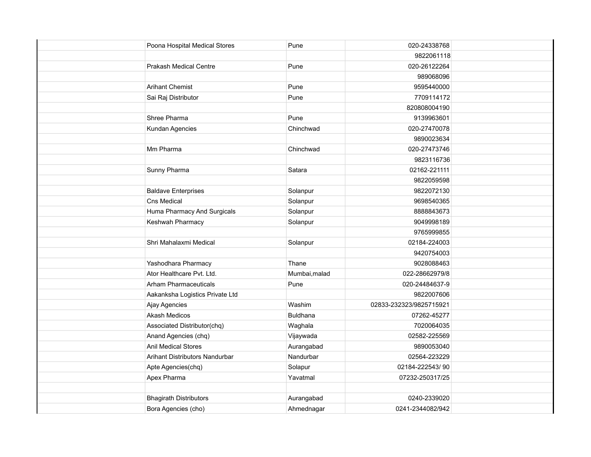| Poona Hospital Medical Stores   | Pune          | 020-24338768            |
|---------------------------------|---------------|-------------------------|
|                                 |               | 9822061118              |
| <b>Prakash Medical Centre</b>   | Pune          | 020-26122264            |
|                                 |               | 989068096               |
| <b>Arihant Chemist</b>          | Pune          | 9595440000              |
| Sai Raj Distributor             | Pune          | 7709114172              |
|                                 |               | 820808004190            |
| Shree Pharma                    | Pune          | 9139963601              |
| Kundan Agencies                 | Chinchwad     | 020-27470078            |
|                                 |               | 9890023634              |
| Mm Pharma                       | Chinchwad     | 020-27473746            |
|                                 |               | 9823116736              |
| Sunny Pharma                    | Satara        | 02162-221111            |
|                                 |               | 9822059598              |
| <b>Baldave Enterprises</b>      | Solanpur      | 9822072130              |
| Cns Medical                     | Solanpur      | 9698540365              |
| Huma Pharmacy And Surgicals     | Solanpur      | 8888843673              |
| Keshwah Pharmacy                | Solanpur      | 9049998189              |
|                                 |               | 9765999855              |
| Shri Mahalaxmi Medical          | Solanpur      | 02184-224003            |
|                                 |               | 9420754003              |
| Yashodhara Pharmacy             | Thane         | 9028088463              |
| Ator Healthcare Pvt. Ltd.       | Mumbai, malad | 022-28662979/8          |
| <b>Arham Pharmaceuticals</b>    | Pune          | 020-24484637-9          |
| Aakanksha Logistics Private Ltd |               | 9822007606              |
| Ajay Agencies                   | Washim        | 02833-232323/9825715921 |
| <b>Akash Medicos</b>            | Buldhana      | 07262-45277             |
| Associated Distributor(chq)     | Waghala       | 7020064035              |
| Anand Agencies (chq)            | Vijaywada     | 02582-225569            |
| <b>Anil Medical Stores</b>      | Aurangabad    | 9890053040              |
| Arihant Distributors Nandurbar  | Nandurbar     | 02564-223229            |
| Apte Agencies(chq)              | Solapur       | 02184-222543/90         |
| Apex Pharma                     | Yavatmal      | 07232-250317/25         |
|                                 |               |                         |
| <b>Bhagirath Distributors</b>   | Aurangabad    | 0240-2339020            |
| Bora Agencies (cho)             | Ahmednagar    | 0241-2344082/942        |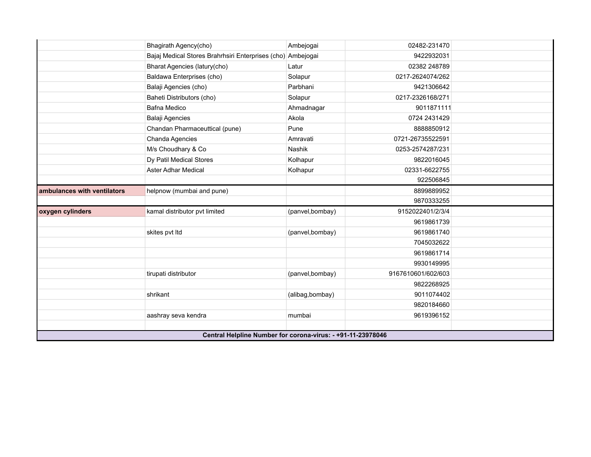|                             | Bhagirath Agency(cho)                                       | Ambejogai       | 02482-231470       |  |
|-----------------------------|-------------------------------------------------------------|-----------------|--------------------|--|
|                             | Bajaj Medical Stores Brahrhsiri Enterprises (cho) Ambejogai |                 | 9422932031         |  |
|                             | Bharat Agencies (latury(cho)                                | Latur           | 02382 248789       |  |
|                             | Baldawa Enterprises (cho)                                   | Solapur         | 0217-2624074/262   |  |
|                             | Balaji Agencies (cho)                                       | Parbhani        | 9421306642         |  |
|                             | Baheti Distributors (cho)                                   | Solapur         | 0217-2326168/271   |  |
|                             | <b>Bafna Medico</b>                                         | Ahmadnagar      | 9011871111         |  |
|                             | <b>Balaji Agencies</b>                                      | Akola           | 0724 2431429       |  |
|                             | Chandan Pharmaceuttical (pune)                              | Pune            | 8888850912         |  |
|                             | Chanda Agencies                                             | Amravati        | 0721-26735522591   |  |
|                             | M/s Choudhary & Co                                          | <b>Nashik</b>   | 0253-2574287/231   |  |
|                             | Dy Patil Medical Stores                                     | Kolhapur        | 9822016045         |  |
|                             | <b>Aster Adhar Medical</b>                                  | Kolhapur        | 02331-6622755      |  |
|                             |                                                             |                 | 922506845          |  |
| ambulances with ventilators | helpnow (mumbai and pune)                                   |                 | 8899889952         |  |
|                             |                                                             |                 | 9870333255         |  |
| oxygen cylinders            | kamal distributor pvt limited                               | (panvel,bombay) | 9152022401/2/3/4   |  |
|                             |                                                             |                 | 9619861739         |  |
|                             | skites pvt Itd                                              | (panvel,bombay) | 9619861740         |  |
|                             |                                                             |                 | 7045032622         |  |
|                             |                                                             |                 | 9619861714         |  |
|                             |                                                             |                 | 9930149995         |  |
|                             | tirupati distributor                                        | (panvel,bombay) | 9167610601/602/603 |  |
|                             |                                                             |                 | 9822268925         |  |
|                             | shrikant                                                    | (alibag,bombay) | 9011074402         |  |
|                             |                                                             |                 | 9820184660         |  |
|                             | aashray seva kendra                                         | mumbai          | 9619396152         |  |
|                             |                                                             |                 |                    |  |
|                             | Central Helpline Number for corona-virus: - +91-11-23978046 |                 |                    |  |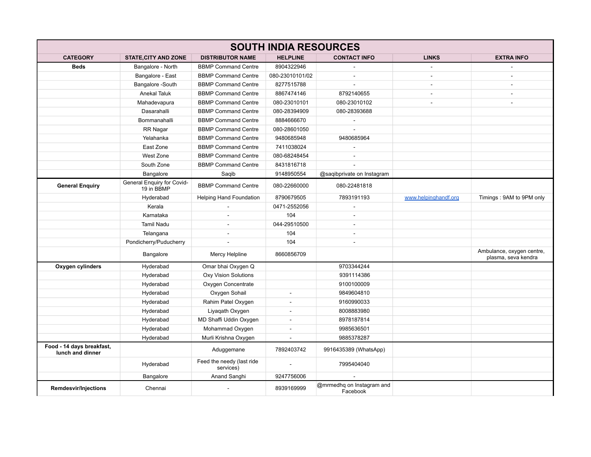| <b>SOUTH INDIA RESOURCES</b>                  |                                          |                                        |                          |                                       |                      |                                                  |
|-----------------------------------------------|------------------------------------------|----------------------------------------|--------------------------|---------------------------------------|----------------------|--------------------------------------------------|
| <b>CATEGORY</b>                               | <b>STATE, CITY AND ZONE</b>              | <b>DISTRIBUTOR NAME</b>                | <b>HELPLINE</b>          | <b>CONTACT INFO</b>                   | <b>LINKS</b>         | <b>EXTRA INFO</b>                                |
| <b>Beds</b>                                   | Bangalore - North                        | <b>BBMP Command Centre</b>             | 8904322946               |                                       |                      |                                                  |
|                                               | Bangalore - East                         | <b>BBMP Command Centre</b>             | 080-23010101/02          | ÷.                                    | ÷.                   | ÷                                                |
|                                               | Bangalore -South                         | <b>BBMP Command Centre</b>             | 8277515788               | $\overline{a}$                        | $\sim$               | $\sim$                                           |
|                                               | Anekal Taluk                             | <b>BBMP Command Centre</b>             | 8867474146               | 8792140655                            |                      | $\sim$                                           |
|                                               | Mahadevapura                             | <b>BBMP Command Centre</b>             | 080-23010101             | 080-23010102                          |                      | ä,                                               |
|                                               | Dasarahalli                              | <b>BBMP Command Centre</b>             | 080-28394909             | 080-28393688                          |                      |                                                  |
|                                               | Bommanahalli                             | <b>BBMP Command Centre</b>             | 8884666670               | $\bar{\phantom{a}}$                   |                      |                                                  |
|                                               | RR Nagar                                 | <b>BBMP Command Centre</b>             | 080-28601050             |                                       |                      |                                                  |
|                                               | Yelahanka                                | <b>BBMP Command Centre</b>             | 9480685948               | 9480685964                            |                      |                                                  |
|                                               | East Zone                                | <b>BBMP Command Centre</b>             | 7411038024               |                                       |                      |                                                  |
|                                               | West Zone                                | <b>BBMP Command Centre</b>             | 080-68248454             | $\sim$                                |                      |                                                  |
|                                               | South Zone                               | <b>BBMP Command Centre</b>             | 8431816718               |                                       |                      |                                                  |
|                                               | Bangalore                                | Saqib                                  | 9148950554               | @saqibprivate on Instagram            |                      |                                                  |
| <b>General Enquiry</b>                        | General Enquiry for Covid-<br>19 in BBMP | <b>BBMP Command Centre</b>             | 080-22660000             | 080-22481818                          |                      |                                                  |
|                                               | Hyderabad                                | <b>Helping Hand Foundation</b>         | 8790679505               | 7893191193                            | www.helpinghandf.org | Timings: 9AM to 9PM only                         |
|                                               | Kerala                                   |                                        | 0471-2552056             |                                       |                      |                                                  |
|                                               | Karnataka                                |                                        | 104                      |                                       |                      |                                                  |
|                                               | <b>Tamil Nadu</b>                        | ÷.                                     | 044-29510500             | ÷.                                    |                      |                                                  |
|                                               | Telangana                                | ÷.                                     | 104                      | ÷.                                    |                      |                                                  |
|                                               | Pondicherry/Puducherry                   |                                        | 104                      | $\sim$                                |                      |                                                  |
|                                               | Bangalore                                | Mercy Helpline                         | 8660856709               |                                       |                      | Ambulance, oxygen centre,<br>plasma, seva kendra |
| Oxygen cylinders                              | Hyderabad                                | Omar bhai Oxygen Q                     |                          | 9703344244                            |                      |                                                  |
|                                               | Hyderabad                                | <b>Oxy Vision Solutions</b>            |                          | 9391114386                            |                      |                                                  |
|                                               | Hyderabad                                | Oxygen Concentrate                     |                          | 9100100009                            |                      |                                                  |
|                                               | Hyderabad                                | Oxygen Sohail                          | $\sim$                   | 9849604810                            |                      |                                                  |
|                                               | Hyderabad                                | Rahim Patel Oxygen                     | $\overline{\phantom{a}}$ | 9160990033                            |                      |                                                  |
|                                               | Hyderabad                                | Liyaqath Oxygen                        |                          | 8008883980                            |                      |                                                  |
|                                               | Hyderabad                                | MD Shaffi Uddin Oxygen                 | $\sim$                   | 8978187814                            |                      |                                                  |
|                                               | Hyderabad                                | Mohammad Oxygen                        | $\blacksquare$           | 9985636501                            |                      |                                                  |
|                                               | Hyderabad                                | Murli Krishna Oxygen                   | ÷                        | 9885378287                            |                      |                                                  |
| Food - 14 days breakfast,<br>lunch and dinner |                                          | Aduggemane                             | 7892403742               | 9916435389 (WhatsApp)                 |                      |                                                  |
|                                               | Hyderabad                                | Feed the needy (last ride<br>services) | $\sim$                   | 7995404040                            |                      |                                                  |
|                                               | <b>Bangalore</b>                         | Anand Sanghi                           | 9247756006               |                                       |                      |                                                  |
| <b>Remdesvir/Injections</b>                   | Chennai                                  |                                        | 8939169999               | @mrmedhq on Instagram and<br>Facebook |                      |                                                  |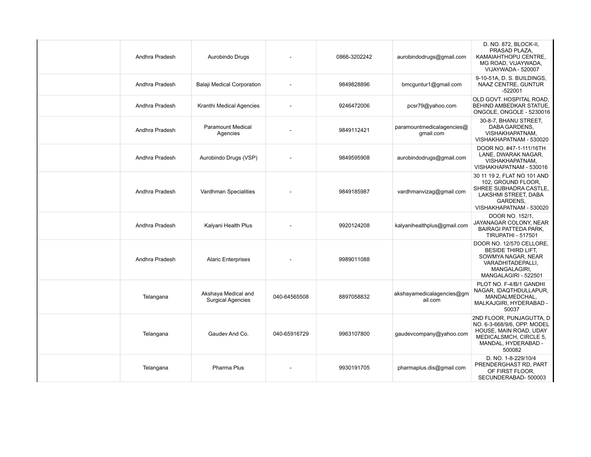| Andhra Pradesh | Aurobindo Drugs                                 |                          | 0866-3202242 | aurobindodrugs@gmail.com               | D. NO. 872, BLOCK-II,<br>PRASAD PLAZA,<br>KAMAIAHTHOPU CENTRE,<br>MG ROAD, VIJAYWADA,<br>VIJAYWADA - 520007                                  |
|----------------|-------------------------------------------------|--------------------------|--------------|----------------------------------------|----------------------------------------------------------------------------------------------------------------------------------------------|
| Andhra Pradesh | Balaji Medical Corporation                      |                          | 9849828896   | bmcguntur1@gmail.com                   | 9-10-51A, D. S. BUILDINGS,<br>NAAZ CENTRE, GUNTUR<br>$-522001$                                                                               |
| Andhra Pradesh | Kranthi Medical Agencies                        | $\overline{\phantom{a}}$ | 9246472006   | pcsr79@yahoo.com                       | OLD GOVT. HOSPITAL ROAD.<br>BEHIND AMBEDKAR STATUE,<br>ONGOLE, ONGOLE - 5230016                                                              |
| Andhra Pradesh | <b>Paramount Medical</b><br>Agencies            |                          | 9849112421   | paramountmedicalagencies@<br>qmail.com | 30-8-7, BHANU STREET,<br>DABA GARDENS,<br>VISHAKHAPATNAM.<br>VISHAKHAPATNAM - 530020                                                         |
| Andhra Pradesh | Aurobindo Drugs (VSP)                           |                          | 9849595908   | aurobindodrugs@gmail.com               | DOOR NO. #47-1-111/16TH<br>LANE, DWARAK NAGAR,<br>VISHAKHAPATNAM.<br>VISHAKHAPATNAM - 530016                                                 |
| Andhra Pradesh | Vardhman Specialities                           |                          | 9849185987   | vardhmanvizag@gmail.com                | 30 11 19 2. FLAT NO 101 AND<br>102, GROUND FLOOR,<br>SHREE SUBHADRA CASTLE.<br>LAKSHMI STREET, DABA<br>GARDENS,<br>VISHAKHAPATNAM - 530020   |
| Andhra Pradesh | Kalyani Health Plus                             |                          | 9920124208   | kalyanihealthplus@gmail.com            | DOOR NO. 152/1,<br>JAYANAGAR COLONY, NEAR<br><b>BAIRAGI PATTEDA PARK,</b><br><b>TIRUPATHI - 517501</b>                                       |
| Andhra Pradesh | <b>Alaric Enterprises</b>                       |                          | 9989011088   |                                        | DOOR NO. 12/570 CELLORE,<br><b>BESIDE THIRD LIFT.</b><br>SOWMYA NAGAR, NEAR<br>VARADHITADEPALLI,<br>MANGALAGIRI,<br>MANGALAGIRI - 522501     |
| Telangana      | Akshaya Medical and<br><b>Surgical Agencies</b> | 040-64565508             | 8897058832   | akshayamedicalagencies@gm<br>ail.com   | PLOT NO. F-4/B/1 GANDHI<br>NAGAR, IDAQTHDULLAPUR,<br>MANDALMEDCHAL,<br>MALKAJGIRI, HYDERABAD -<br>50037                                      |
| Telangana      | Gaudey And Co.                                  | 040-65916729             | 9963107800   | gaudevcompany@yahoo.com                | 2ND FLOOR, PUNJAGUTTA, D<br>NO. 6-3-668/9/6, OPP. MODEL<br>HOUSE, MAIN ROAD, UDAY<br>MEDICALSMCH, CIRCLE 5,<br>MANDAL, HYDERABAD -<br>500082 |
| Telangana      | Pharma Plus                                     |                          | 9930191705   | pharmaplus.dis@gmail.com               | D. NO. 1-8-229/10/4<br>PRENDERGHAST RD, PART<br>OF FIRST FLOOR.<br>SECUNDERABAD-500003                                                       |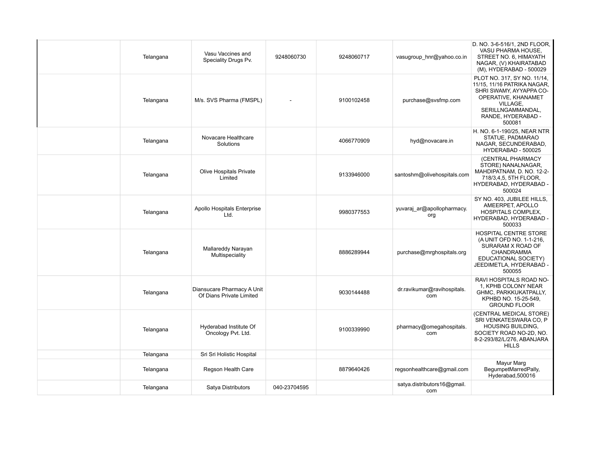| Telangana | Vasu Vaccines and<br>Speciality Drugs Pv.              | 9248060730   | 9248060717 | vasugroup hnr@yahoo.co.in          | D. NO. 3-6-516/1, 2ND FLOOR,<br>VASU PHARMA HOUSE.<br>STREET NO. 6, HIMAYATH<br>NAGAR, (V) KHAIRATABAD<br>(M), HYDERABAD - 500029                                             |
|-----------|--------------------------------------------------------|--------------|------------|------------------------------------|-------------------------------------------------------------------------------------------------------------------------------------------------------------------------------|
| Telangana | M/s. SVS Pharma (FMSPL)                                |              | 9100102458 | purchase@svsfmp.com                | PLOT NO. 317, SY NO. 11/14,<br>11/15, 11/16 PATRIKA NAGAR,<br>SHRI SWAMY, AYYAPPA CO-<br>OPERATIVE, KHANAMET<br>VILLAGE,<br>SERILLNGAMMANDAL,<br>RANDE, HYDERABAD -<br>500081 |
| Telangana | Novacare Healthcare<br>Solutions                       |              | 4066770909 | hyd@novacare.in                    | H. NO. 6-1-190/25, NEAR NTR<br>STATUE, PADMARAO<br>NAGAR, SECUNDERABAD,<br>HYDERABAD - 500025                                                                                 |
| Telangana | <b>Olive Hospitals Private</b><br>Limited              |              | 9133946000 | santoshm@olivehospitals.com        | (CENTRAL PHARMACY<br>STORE) NANALNAGAR,<br>MAHDIPATNAM, D. NO. 12-2-<br>718/3,4,5, 5TH FLOOR,<br>HYDERABAD, HYDERABAD -<br>500024                                             |
| Telangana | Apollo Hospitals Enterprise<br>Ltd.                    |              | 9980377553 | yuvaraj_ar@apollopharmacy.<br>org  | SY NO. 403, JUBILEE HILLS,<br>AMEERPET, APOLLO<br><b>HOSPITALS COMPLEX,</b><br>HYDERABAD, HYDERABAD -<br>500033                                                               |
| Telangana | Mallareddy Narayan<br>Multispeciality                  |              | 8886289944 | purchase@mrghospitals.org          | HOSPITAL CENTRE STORE<br>(A UNIT OFD NO. 1-1-216,<br>SURARAM X ROAD OF<br>CHANDRAMMA<br>EDUCATIONAL SOCIETY)<br>JEEDIMETLA, HYDERABAD -<br>500055                             |
| Telangana | Diansucare Pharmacy A Unit<br>Of Dians Private Limited |              | 9030144488 | dr.ravikumar@ravihospitals.<br>com | RAVI HOSPITALS ROAD NO-<br>1, KPHB COLONY NEAR<br>GHMC, PARKKUKATPALLY,<br>KPHBD NO. 15-25-549,<br><b>GROUND FLOOR</b>                                                        |
| Telangana | Hyderabad Institute Of<br>Oncology Pvt. Ltd.           |              | 9100339990 | pharmacy@omegahospitals.<br>com    | (CENTRAL MEDICAL STORE)<br>SRI VENKATESWARA CO, P<br><b>HOUSING BUILDING,</b><br>SOCIETY ROAD NO-2D, NO.<br>8-2-293/82/L/276, ABANJARA<br><b>HILLS</b>                        |
| Telangana | Sri Sri Holistic Hospital                              |              |            |                                    |                                                                                                                                                                               |
| Telangana | Regson Health Care                                     |              | 8879640426 | regsonhealthcare@gmail.com         | Mayur Marg<br>BegumpetMarredPally,<br>Hyderabad, 500016                                                                                                                       |
| Telangana | Satya Distributors                                     | 040-23704595 |            | satya.distributors16@gmail.<br>com |                                                                                                                                                                               |